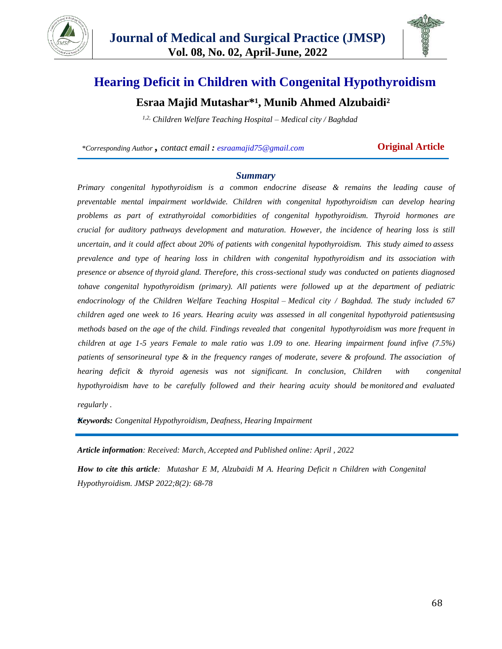



# **Hearing Deficit in Children with Congenital Hypothyroidism**

# **Esraa Majid Mutashar\*¹, Munib Ahmed Alzubaidi²**

*1,2, Children Welfare Teaching Hospital – Medical city / Baghdad*

*\*Corresponding Author , contact email : esraamajid75@gmail.com* **Original Article**

#### *Summary*

*Primary congenital hypothyroidism is a common endocrine disease & remains the leading cause of preventable mental impairment worldwide. Children with congenital hypothyroidism can develop hearing problems as part of extrathyroidal comorbidities of congenital hypothyroidism. Thyroid hormones are crucial for auditory pathways development and maturation. However, the incidence of hearing loss is still uncertain, and it could affect about 20% of patients with congenital hypothyroidism. This study aimed to assess prevalence and type of hearing loss in children with congenital hypothyroidism and its association with presence or absence of thyroid gland. Therefore, this cross-sectional study was conducted on patients diagnosed tohave congenital hypothyroidism (primary). All patients were followed up at the department of pediatric endocrinology of the Children Welfare Teaching Hospital – Medical city / Baghdad. The study included 67 children aged one week to 16 years. Hearing acuity was assessed in all congenital hypothyroid patientsusing methods based on the age of the child. Findings revealed that congenital hypothyroidism was more frequent in children at age 1-5 years Female to male ratio was 1.09 to one. Hearing impairment found infive (7.5%) patients of sensorineural type & in the frequency ranges of moderate, severe & profound. The association of hearing deficit & thyroid agenesis was not significant. In conclusion, Children with congenital hypothyroidism have to be carefully followed and their hearing acuity should be monitored and evaluated regularly .*

*Keywords: Congenital Hypothyroidism, Deafness, Hearing Impairment*

*Article information: Received: March, Accepted and Published online: April , 2022*

*How to cite this article: Mutashar E M, Alzubaidi M A. Hearing Deficit n Children with Congenital Hypothyroidism. JMSP 2022;8(2): 68-78*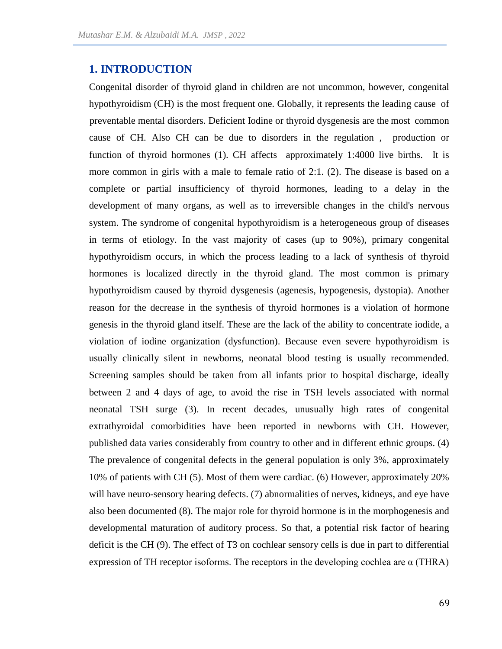### **1. INTRODUCTION**

Congenital disorder of thyroid gland in children are not uncommon, however, congenital hypothyroidism (CH) is the most frequent one. Globally, it represents the leading cause of preventable mental disorders. Deficient Iodine or thyroid dysgenesis are the most common cause of CH. Also CH can be due to disorders in the regulation , production or function of thyroid hormones (1). CH affects approximately 1:4000 live births. It is more common in girls with a male to female ratio of 2:1. (2). The disease is based on a complete or partial insufficiency of thyroid hormones, leading to a delay in the development of many organs, as well as to irreversible changes in the child's nervous system. The syndrome of congenital hypothyroidism is a heterogeneous group of diseases in terms of etiology. In the vast majority of cases (up to 90%), primary congenital hypothyroidism occurs, in which the process leading to a lack of synthesis of thyroid hormones is localized directly in the thyroid gland. The most common is primary hypothyroidism caused by thyroid dysgenesis (agenesis, hypogenesis, dystopia). Another reason for the decrease in the synthesis of thyroid hormones is a violation of hormone genesis in the thyroid gland itself. These are the lack of the ability to concentrate iodide, a violation of iodine organization (dysfunction). Because even severe hypothyroidism is usually clinically silent in newborns, neonatal blood testing is usually recommended. Screening samples should be taken from all infants prior to hospital discharge, ideally between 2 and 4 days of age, to avoid the rise in TSH levels associated with normal neonatal TSH surge (3). In recent decades, unusually high rates of congenital extrathyroidal comorbidities have been reported in newborns with CH. However, published data varies considerably from country to other and in different ethnic groups. (4) The prevalence of congenital defects in the general population is only 3%, approximately 10% of patients with CH (5). Most of them were cardiac. (6) However, approximately 20% will have neuro-sensory hearing defects. (7) abnormalities of nerves, kidneys, and eye have also been documented (8). The major role for thyroid hormone is in the morphogenesis and developmental maturation of auditory process. So that, a potential risk factor of hearing deficit is the CH (9). The effect of T3 on cochlear sensory cells is due in part to differential expression of TH receptor isoforms. The receptors in the developing cochlea are  $\alpha$  (THRA)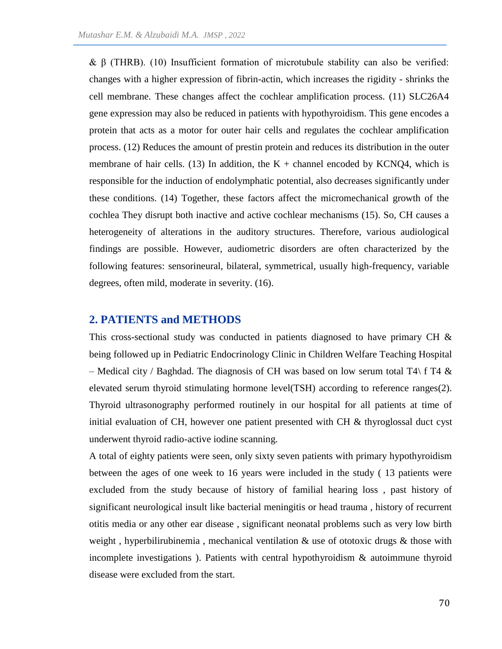& β (THRB). (10) Insufficient formation of microtubule stability can also be verified: changes with a higher expression of fibrin-actin, which increases the rigidity - shrinks the cell membrane. These changes affect the cochlear amplification process. (11) SLC26A4 gene expression may also be reduced in patients with hypothyroidism. This gene encodes a protein that acts as a motor for outer hair cells and regulates the cochlear amplification process. (12) Reduces the amount of prestin protein and reduces its distribution in the outer membrane of hair cells. (13) In addition, the  $K +$  channel encoded by KCNQ4, which is responsible for the induction of endolymphatic potential, also decreases significantly under these conditions. (14) Together, these factors affect the micromechanical growth of the cochlea They disrupt both inactive and active cochlear mechanisms (15). So, CH causes a heterogeneity of alterations in the auditory structures. Therefore, various audiological findings are possible. However, audiometric disorders are often characterized by the following features: sensorineural, bilateral, symmetrical, usually high-frequency, variable degrees, often mild, moderate in severity. (16).

### **2. PATIENTS and METHODS**

This cross-sectional study was conducted in patients diagnosed to have primary CH & being followed up in Pediatric Endocrinology Clinic in Children Welfare Teaching Hospital – Medical city / Baghdad. The diagnosis of CH was based on low serum total T4\ f T4  $\&$ elevated serum thyroid stimulating hormone level(TSH) according to reference ranges(2). Thyroid ultrasonography performed routinely in our hospital for all patients at time of initial evaluation of CH, however one patient presented with CH  $\&$  thyroglossal duct cyst underwent thyroid radio-active iodine scanning.

A total of eighty patients were seen, only sixty seven patients with primary hypothyroidism between the ages of one week to 16 years were included in the study ( 13 patients were excluded from the study because of history of familial hearing loss , past history of significant neurological insult like bacterial meningitis or head trauma , history of recurrent otitis media or any other ear disease , significant neonatal problems such as very low birth weight, hyperbilirubinemia, mechanical ventilation & use of ototoxic drugs & those with incomplete investigations). Patients with central hypothyroidism  $\&$  autoimmune thyroid disease were excluded from the start.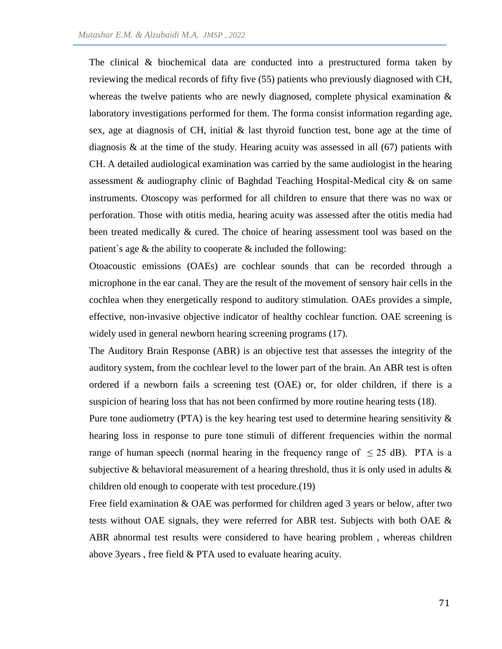The clinical & biochemical data are conducted into a prestructured forma taken by reviewing the medical records of fifty five (55) patients who previously diagnosed with CH, whereas the twelve patients who are newly diagnosed, complete physical examination  $\&$ laboratory investigations performed for them. The forma consist information regarding age, sex, age at diagnosis of CH, initial & last thyroid function test, bone age at the time of diagnosis & at the time of the study. Hearing acuity was assessed in all (67) patients with CH. A detailed audiological examination was carried by the same audiologist in the hearing assessment & audiography clinic of Baghdad Teaching Hospital-Medical city & on same instruments. Otoscopy was performed for all children to ensure that there was no wax or perforation. Those with otitis media, hearing acuity was assessed after the otitis media had been treated medically & cured. The choice of hearing assessment tool was based on the patient's age  $\&$  the ability to cooperate  $\&$  included the following:

Otoacoustic emissions (OAEs) are cochlear sounds that can be recorded through a microphone in the ear canal. They are the result of the movement of sensory hair cells in the cochlea when they energetically respond to auditory stimulation. OAEs provides a simple, effective, non-invasive objective indicator of healthy cochlear function. OAE screening is widely used in general newborn hearing screening programs (17).

The Auditory Brain Response (ABR) is an objective test that assesses the integrity of the auditory system, from the cochlear level to the lower part of the brain. An ABR test is often ordered if a newborn fails a screening test (OAE) or, for older children, if there is a suspicion of hearing loss that has not been confirmed by more routine hearing tests (18).

Pure tone audiometry (PTA) is the key hearing test used to determine hearing sensitivity  $\&$ hearing loss in response to pure tone stimuli of different frequencies within the normal range of human speech (normal hearing in the frequency range of  $\leq 25$  dB). PTA is a subjective & behavioral measurement of a hearing threshold, thus it is only used in adults  $\&$ children old enough to cooperate with test procedure.(19)

Free field examination & OAE was performed for children aged 3 years or below, after two tests without OAE signals, they were referred for ABR test. Subjects with both OAE & ABR abnormal test results were considered to have hearing problem , whereas children above 3years , free field & PTA used to evaluate hearing acuity.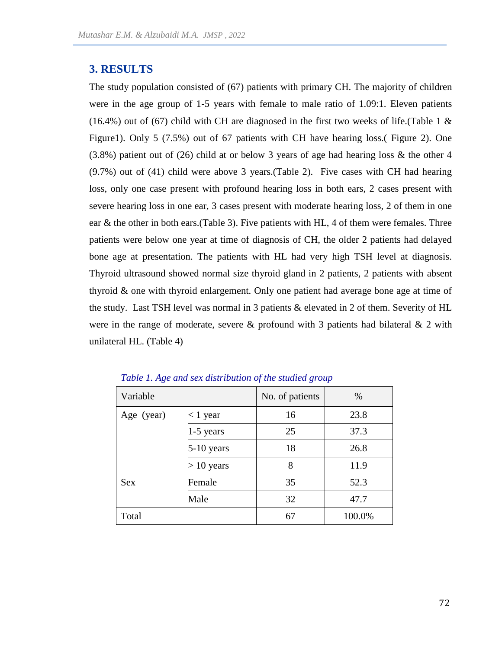## **3. RESULTS**

The study population consisted of (67) patients with primary CH. The majority of children were in the age group of 1-5 years with female to male ratio of 1.09:1. Eleven patients (16.4%) out of (67) child with CH are diagnosed in the first two weeks of life. (Table 1  $\&$ Figure1). Only 5 (7.5%) out of 67 patients with CH have hearing loss.( Figure 2). One (3.8%) patient out of (26) child at or below 3 years of age had hearing loss & the other 4 (9.7%) out of (41) child were above 3 years.(Table 2). Five cases with CH had hearing loss, only one case present with profound hearing loss in both ears, 2 cases present with severe hearing loss in one ear, 3 cases present with moderate hearing loss, 2 of them in one ear  $\&$  the other in both ears. (Table 3). Five patients with HL, 4 of them were females. Three patients were below one year at time of diagnosis of CH, the older 2 patients had delayed bone age at presentation. The patients with HL had very high TSH level at diagnosis. Thyroid ultrasound showed normal size thyroid gland in 2 patients, 2 patients with absent thyroid & one with thyroid enlargement. Only one patient had average bone age at time of the study. Last TSH level was normal in 3 patients & elevated in 2 of them. Severity of HL were in the range of moderate, severe  $\&$  profound with 3 patients had bilateral  $\&$  2 with unilateral HL. (Table 4)

| Variable                 |              | No. of patients | $\%$   |  |
|--------------------------|--------------|-----------------|--------|--|
| $<$ 1 year<br>Age (year) |              | 16              | 23.8   |  |
|                          | $1-5$ years  | 25              | 37.3   |  |
|                          | 5-10 years   | 18              | 26.8   |  |
|                          | $> 10$ years | 8               | 11.9   |  |
| <b>Sex</b>               | Female       | 35              | 52.3   |  |
|                          | Male         | 32              | 47.7   |  |
| Total                    |              | 67              | 100.0% |  |

*Table 1. Age and sex distribution of the studied group*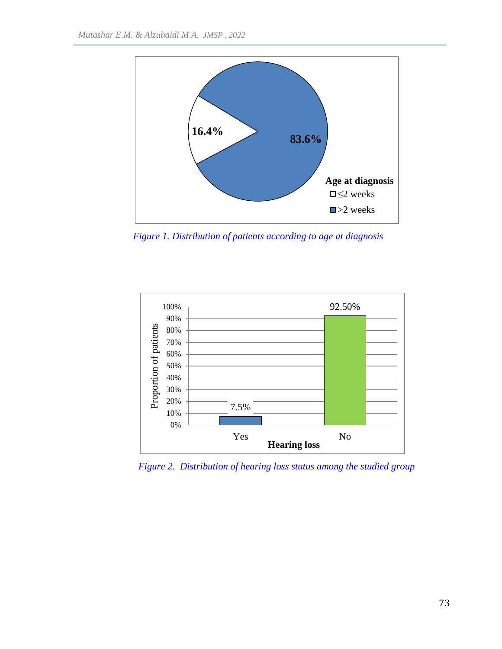

*Figure 1. Distribution of patients according to age at diagnosis*



*Figure 2. Distribution of hearing loss status among the studied group*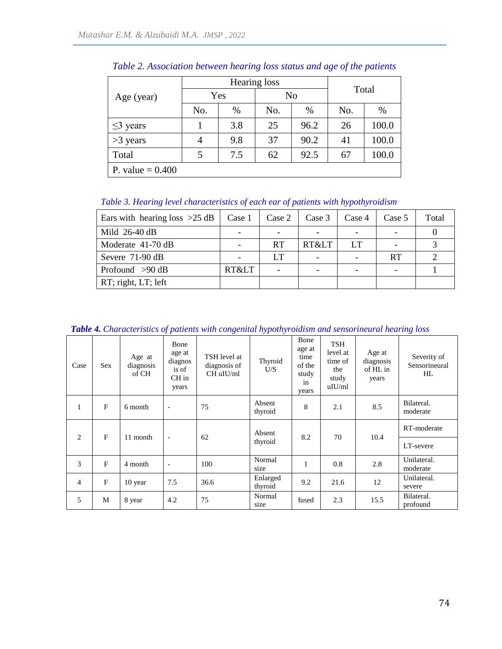|                    |     | Hearing loss | Total |      |     |       |  |  |
|--------------------|-----|--------------|-------|------|-----|-------|--|--|
| Age (year)         | Yes |              |       |      | No  |       |  |  |
|                    | No. | $\%$         | No.   | %    | No. | $\%$  |  |  |
| $\leq$ years       |     | 3.8          | 25    | 96.2 | 26  | 100.0 |  |  |
| $>3$ years         | 4   | 9.8          | 37    | 90.2 | 41  | 100.0 |  |  |
| Total              | 5   | 7.5          | 62    | 92.5 | 67  | 100.0 |  |  |
| P. value = $0.400$ |     |              |       |      |     |       |  |  |

*Table 2. Association between hearing loss status and age of the patients* 

*Table 3. Hearing level characteristics of each ear of patients with hypothyroidism* 

| Ears with hearing loss $>25$ dB | Case 1 | Case 2 | Case 3 | Case 4 | Case 5 | Total |
|---------------------------------|--------|--------|--------|--------|--------|-------|
| Mild $26-40$ dB                 |        |        |        |        |        |       |
| Moderate $41-70$ dB             |        | RT     | RT<    | LT     |        |       |
| Severe 71-90 dB                 |        | LT     |        |        | RT     |       |
| Profound $>90$ dB               | RT<    |        |        |        |        |       |
| RT; right, LT; left             |        |        |        |        |        |       |

*Table 4. Characteristics of patients with congenital hypothyroidism and sensorineural hearing loss*

| Case           | <b>Sex</b>   | Age at<br>diagnosis<br>of CH | Bone<br>age at<br>diagnos<br>is of<br>$CH$ in<br>years | TSH level at<br>diagnosis of<br>CH uIU/ml | Thyroid<br>U/S      | Bone<br>age at<br>time<br>of the<br>study<br>in<br>years | <b>TSH</b><br>level at<br>time of<br>the<br>study<br>uIU/ml | Age at<br>diagnosis<br>of HL in<br>years | Severity of<br>Sensorineural<br>HL |
|----------------|--------------|------------------------------|--------------------------------------------------------|-------------------------------------------|---------------------|----------------------------------------------------------|-------------------------------------------------------------|------------------------------------------|------------------------------------|
| 1              | $\mathbf{F}$ | 6 month                      | $\sim$                                                 | 75                                        | Absent<br>thyroid   | 8                                                        | 2.1                                                         | 8.5                                      | Bilateral.<br>moderate             |
| 2              | $\mathbf{F}$ | 11 month                     | $\sim$                                                 | 62                                        | Absent<br>thyroid   | 8.2                                                      | 70                                                          | 10.4                                     | RT-moderate<br>LT-severe           |
| 3              | $\mathbf F$  | 4 month                      | $\sim$                                                 | 100                                       | Normal<br>size      | 1                                                        | 0.8                                                         | 2.8                                      | Unilateral.<br>moderate            |
| $\overline{4}$ | $\mathbf{F}$ | 10 year                      | 7.5                                                    | 36.6                                      | Enlarged<br>thyroid | 9.2                                                      | 21.6                                                        | 12                                       | Unilateral.<br>severe              |
| 5              | M            | 8 year                       | 4.2                                                    | 75                                        | Normal<br>size      | fused                                                    | 2.3                                                         | 15.5                                     | Bilateral.<br>profound             |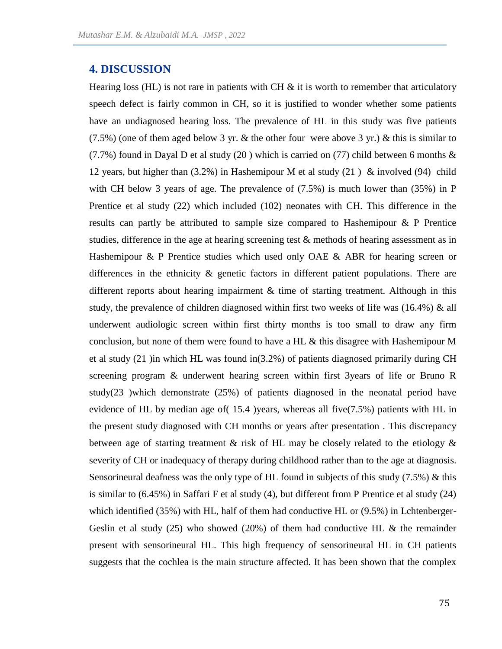### **4. DISCUSSION**

Hearing loss (HL) is not rare in patients with CH  $\&$  it is worth to remember that articulatory speech defect is fairly common in CH, so it is justified to wonder whether some patients have an undiagnosed hearing loss. The prevalence of HL in this study was five patients  $(7.5\%)$  (one of them aged below 3 yr. & the other four were above 3 yr.) & this is similar to (7.7%) found in Dayal D et al study (20) which is carried on (77) child between 6 months  $\&$ 12 years, but higher than (3.2%) in Hashemipour M et al study (21 ) & involved (94) child with CH below 3 years of age. The prevalence of (7.5%) is much lower than (35%) in P Prentice et al study (22) which included (102) neonates with CH. This difference in the results can partly be attributed to sample size compared to Hashemipour & P Prentice studies, difference in the age at hearing screening test & methods of hearing assessment as in Hashemipour & P Prentice studies which used only OAE & ABR for hearing screen or differences in the ethnicity & genetic factors in different patient populations. There are different reports about hearing impairment & time of starting treatment. Although in this study, the prevalence of children diagnosed within first two weeks of life was (16.4%) & all underwent audiologic screen within first thirty months is too small to draw any firm conclusion, but none of them were found to have a HL & this disagree with Hashemipour M et al study (21 )in which HL was found in(3.2%) of patients diagnosed primarily during CH screening program & underwent hearing screen within first 3years of life or Bruno R study(23 )which demonstrate (25%) of patients diagnosed in the neonatal period have evidence of HL by median age of  $(15.4)$  years, whereas all five $(7.5%)$  patients with HL in the present study diagnosed with CH months or years after presentation . This discrepancy between age of starting treatment & risk of HL may be closely related to the etiology  $\&$ severity of CH or inadequacy of therapy during childhood rather than to the age at diagnosis. Sensorineural deafness was the only type of HL found in subjects of this study (7.5%) & this is similar to (6.45%) in Saffari F et al study (4), but different from P Prentice et al study (24) which identified (35%) with HL, half of them had conductive HL or (9.5%) in Lchtenberger-Geslin et al study  $(25)$  who showed  $(20%)$  of them had conductive HL & the remainder present with sensorineural HL. This high frequency of sensorineural HL in CH patients suggests that the cochlea is the main structure affected. It has been shown that the complex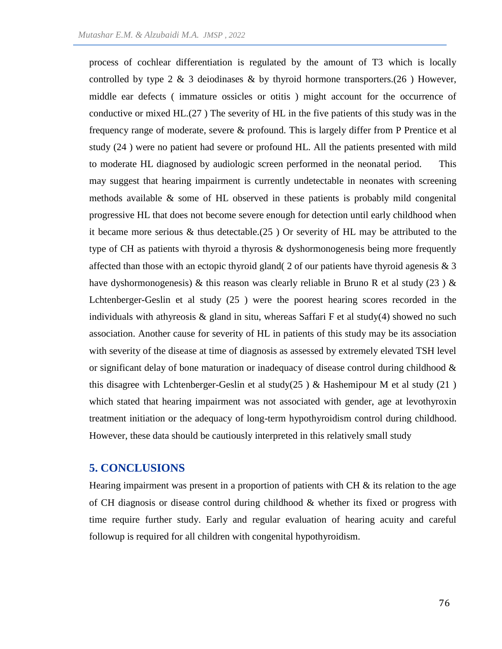process of cochlear differentiation is regulated by the amount of T3 which is locally controlled by type 2  $\&$  3 deiodinases  $\&$  by thyroid hormone transporters.(26) However, middle ear defects ( immature ossicles or otitis ) might account for the occurrence of conductive or mixed HL.(27 ) The severity of HL in the five patients of this study was in the frequency range of moderate, severe & profound. This is largely differ from P Prentice et al study (24 ) were no patient had severe or profound HL. All the patients presented with mild to moderate HL diagnosed by audiologic screen performed in the neonatal period. This may suggest that hearing impairment is currently undetectable in neonates with screening methods available & some of HL observed in these patients is probably mild congenital progressive HL that does not become severe enough for detection until early childhood when it became more serious & thus detectable.(25 ) Or severity of HL may be attributed to the type of CH as patients with thyroid a thyrosis & dyshormonogenesis being more frequently affected than those with an ectopic thyroid gland( 2 of our patients have thyroid agenesis  $\&$  3 have dyshormonogenesis) & this reason was clearly reliable in Bruno R et al study (23) & Lchtenberger-Geslin et al study (25 ) were the poorest hearing scores recorded in the individuals with athyreosis  $\&$  gland in situ, whereas Saffari F et al study(4) showed no such association. Another cause for severity of HL in patients of this study may be its association with severity of the disease at time of diagnosis as assessed by extremely elevated TSH level or significant delay of bone maturation or inadequacy of disease control during childhood  $\&$ this disagree with Lchtenberger-Geslin et al study(25) & Hashemipour M et al study (21) which stated that hearing impairment was not associated with gender, age at levothyroxin treatment initiation or the adequacy of long-term hypothyroidism control during childhood. However, these data should be cautiously interpreted in this relatively small study

### **5. CONCLUSIONS**

Hearing impairment was present in a proportion of patients with  $CH \&$  its relation to the age of CH diagnosis or disease control during childhood & whether its fixed or progress with time require further study. Early and regular evaluation of hearing acuity and careful followup is required for all children with congenital hypothyroidism.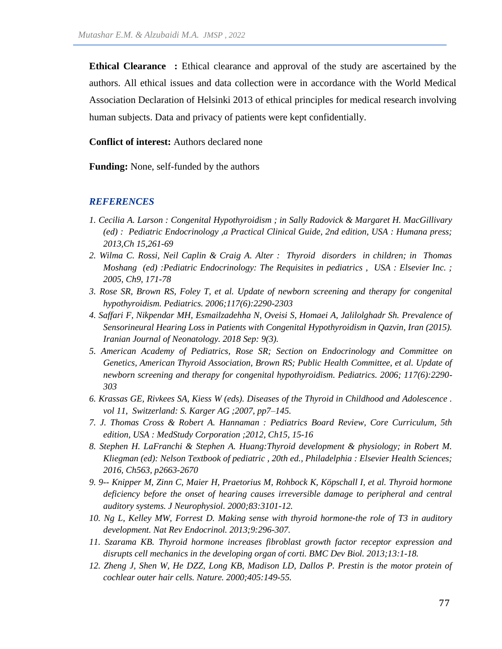**Ethical Clearance** : Ethical clearance and approval of the study are ascertained by the authors. All ethical issues and data collection were in accordance with the World Medical Association Declaration of Helsinki 2013 of ethical principles for medical research involving human subjects. Data and privacy of patients were kept confidentially.

**Conflict of interest:** Authors declared none

**Funding:** None, self-funded by the authors

#### *REFERENCES*

- *1. Cecilia A. Larson : Congenital Hypothyroidism ; in Sally Radovick & Margaret H. MacGillivary (ed) : Pediatric Endocrinology ,a Practical Clinical Guide, 2nd edition, USA : Humana press; 2013,Ch 15,261-69*
- *2. Wilma C. Rossi, Neil Caplin & Craig A. Alter : Thyroid disorders in children; in Thomas Moshang (ed) :Pediatric Endocrinology: The Requisites in pediatrics , USA : Elsevier Inc. ; 2005, Ch9, 171-78*
- *3. Rose SR, Brown RS, Foley T, et al. Update of newborn screening and therapy for congenital hypothyroidism. Pediatrics. 2006;117(6):2290-2303*
- *4. Saffari F, Nikpendar MH, Esmailzadehha N, Oveisi S, Homaei A, Jalilolghadr Sh. Prevalence of Sensorineural Hearing Loss in Patients with Congenital Hypothyroidism in Qazvin, Iran (2015). Iranian Journal of Neonatology. 2018 Sep: 9(3).*
- *5. American Academy of Pediatrics, Rose SR; Section on Endocrinology and Committee on Genetics, American Thyroid Association, Brown RS; Public Health Committee, et al. Update of newborn screening and therapy for congenital hypothyroidism. Pediatrics. 2006; 117(6):2290- 303*
- *6. Krassas GE, Rivkees SA, Kiess W (eds). Diseases of the Thyroid in Childhood and Adolescence . vol 11, Switzerland: S. Karger AG ;2007, pp7–145.*
- *7. J. Thomas Cross & Robert A. Hannaman : Pediatrics Board Review, Core Curriculum, 5th edition, USA : MedStudy Corporation ;2012, Ch15, 15-16*
- *8. Stephen H. LaFranchi & Stephen A. Huang:Thyroid development & physiology; in Robert M. Kliegman (ed): Nelson Textbook of pediatric , 20th ed., Philadelphia : Elsevier Health Sciences; 2016, Ch563, p2663-2670*
- *9. 9-- Knipper M, Zinn C, Maier H, Praetorius M, Rohbock K, Köpschall I, et al. Thyroid hormone*  deficiency before the onset of hearing causes irreversible damage to peripheral and central *auditory systems. J Neurophysiol. 2000;83:3101-12.*
- *10. Ng L, Kelley MW, Forrest D. Making sense with thyroid hormone-the role of T3 in auditory development. Nat Rev Endocrinol. 2013;9:296-307.*
- *11. Szarama KB. Thyroid hormone increases fibroblast growth factor receptor expression and disrupts cell mechanics in the developing organ of corti. BMC Dev Biol. 2013;13:1-18.*
- *12. Zheng J, Shen W, He DZZ, Long KB, Madison LD, Dallos P. Prestin is the motor protein of cochlear outer hair cells. Nature. 2000;405:149-55.*